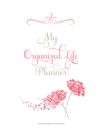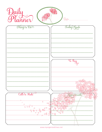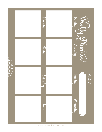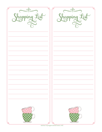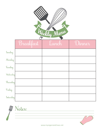| Weekly Meru |           |       |        |  |  |  |
|-------------|-----------|-------|--------|--|--|--|
|             | Breakfast | Lunch | Dinner |  |  |  |
| Sunday      |           |       |        |  |  |  |
| Monday      |           |       |        |  |  |  |
| Tuesday     |           |       |        |  |  |  |
| Wednesday   |           |       |        |  |  |  |
| Thursday    |           |       |        |  |  |  |
| Friday      |           |       |        |  |  |  |
| Saturday    |           |       |        |  |  |  |

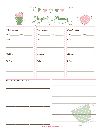|                                   | Hospitality Plannez                                                                    |  |                               |  |  |
|-----------------------------------|----------------------------------------------------------------------------------------|--|-------------------------------|--|--|
| Who's Coming__________________    | Who's Coming________________                                                           |  | Who's Coming_________________ |  |  |
|                                   |                                                                                        |  |                               |  |  |
|                                   |                                                                                        |  |                               |  |  |
|                                   |                                                                                        |  |                               |  |  |
|                                   |                                                                                        |  |                               |  |  |
| Children                          | Exercise the contract of the contract of the contract of the contract of $\frac{1}{2}$ |  |                               |  |  |
|                                   | To Buy_________________________                                                        |  |                               |  |  |
|                                   |                                                                                        |  |                               |  |  |
|                                   |                                                                                        |  |                               |  |  |
|                                   |                                                                                        |  | ಿ ಊೲೲೲೲೲೲೲೲೲೲೲೲೲೲೲೲೲೲೲೲೲೲೲೲೲೲ |  |  |
| <b>Favorite Meals for Company</b> |                                                                                        |  |                               |  |  |
|                                   |                                                                                        |  |                               |  |  |
|                                   |                                                                                        |  |                               |  |  |
|                                   |                                                                                        |  |                               |  |  |
|                                   |                                                                                        |  |                               |  |  |
|                                   |                                                                                        |  |                               |  |  |
|                                   |                                                                                        |  |                               |  |  |
|                                   |                                                                                        |  |                               |  |  |
|                                   |                                                                                        |  |                               |  |  |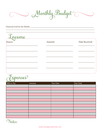Monthly Budget

## Financial Goal for the Month:

| Income |         |                |
|--------|---------|----------------|
|        | Amount: | Date Received: |
|        |         |                |
|        |         |                |
|        |         |                |
|        |         |                |
|        |         |                |



| Bills to Pay | Amount | Due Date | Date Paid |
|--------------|--------|----------|-----------|
|              |        |          |           |
|              |        |          |           |
|              |        |          |           |
|              |        |          |           |
|              |        |          |           |
|              |        |          |           |
|              |        |          |           |
|              |        |          |           |
|              |        |          |           |
|              |        |          |           |
|              |        |          |           |
|              |        |          |           |

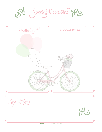

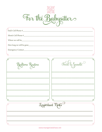

| Where we will be                                                 |  |
|------------------------------------------------------------------|--|
| How long we will be gone                                         |  |
|                                                                  |  |
|                                                                  |  |
| <u> 1989 - Andrea Stadt Britain, amerikansk politik (* 1958)</u> |  |
| لما<br>면<br>щ<br>Food E Snacks<br>Bedtime Routine                |  |
|                                                                  |  |
|                                                                  |  |
|                                                                  |  |
|                                                                  |  |
| rb                                                               |  |
| $\curvearrowright$<br>Tmportant Notes                            |  |
|                                                                  |  |
|                                                                  |  |
|                                                                  |  |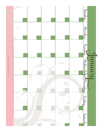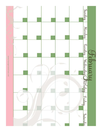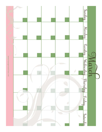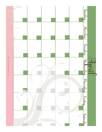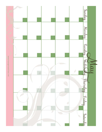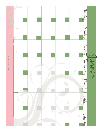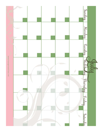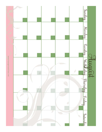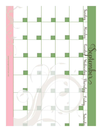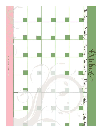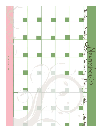